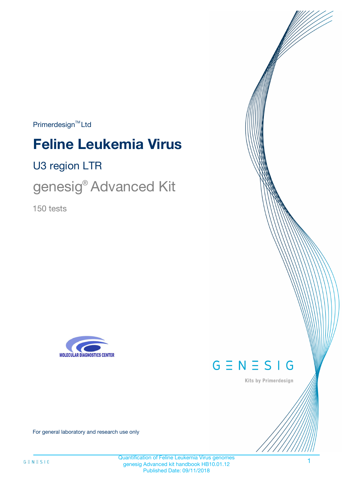$Primerdesign^{\text{TM}}Ltd$ 

# **Feline Leukemia Virus**

U3 region LTR

genesig<sup>®</sup> Advanced Kit

150 tests





Kits by Primerdesign

For general laboratory and research use only

Quantification of Feline Leukemia Virus genomes genesig Advanced kit handbook HB10.01.12 Published Date: 09/11/2018

1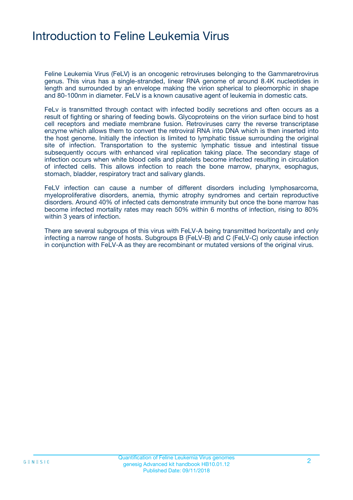### Introduction to Feline Leukemia Virus

Feline Leukemia Virus (FeLV) is an oncogenic retroviruses belonging to the Gammaretrovirus genus. This virus has a single-stranded, linear RNA genome of around 8.4K nucleotides in length and surrounded by an envelope making the virion spherical to pleomorphic in shape and 80-100nm in diameter. FeLV is a known causative agent of leukemia in domestic cats.

FeLv is transmitted through contact with infected bodily secretions and often occurs as a result of fighting or sharing of feeding bowls. Glycoproteins on the virion surface bind to host cell receptors and mediate membrane fusion. Retroviruses carry the reverse transcriptase enzyme which allows them to convert the retroviral RNA into DNA which is then inserted into the host genome. Initially the infection is limited to lymphatic tissue surrounding the original site of infection. Transportation to the systemic lymphatic tissue and intestinal tissue subsequently occurs with enhanced viral replication taking place. The secondary stage of infection occurs when white blood cells and platelets become infected resulting in circulation of infected cells. This allows infection to reach the bone marrow, pharynx, esophagus, stomach, bladder, respiratory tract and salivary glands.

FeLV infection can cause a number of different disorders including lymphosarcoma, myeloproliferative disorders, anemia, thymic atrophy syndromes and certain reproductive disorders. Around 40% of infected cats demonstrate immunity but once the bone marrow has become infected mortality rates may reach 50% within 6 months of infection, rising to 80% within 3 years of infection.

There are several subgroups of this virus with FeLV-A being transmitted horizontally and only infecting a narrow range of hosts. Subgroups B (FeLV-B) and C (FeLV-C) only cause infection in conjunction with FeLV-A as they are recombinant or mutated versions of the original virus.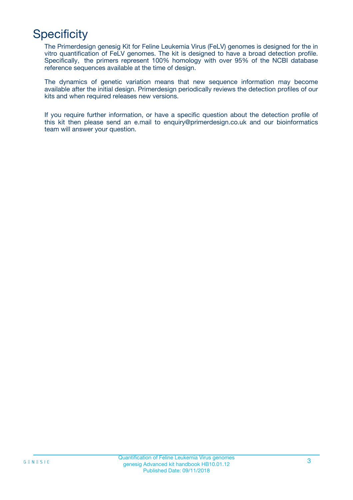# **Specificity**

The Primerdesign genesig Kit for Feline Leukemia Virus (FeLV) genomes is designed for the in vitro quantification of FeLV genomes. The kit is designed to have a broad detection profile. Specifically, the primers represent 100% homology with over 95% of the NCBI database reference sequences available at the time of design.

The dynamics of genetic variation means that new sequence information may become available after the initial design. Primerdesign periodically reviews the detection profiles of our kits and when required releases new versions.

If you require further information, or have a specific question about the detection profile of this kit then please send an e.mail to enquiry@primerdesign.co.uk and our bioinformatics team will answer your question.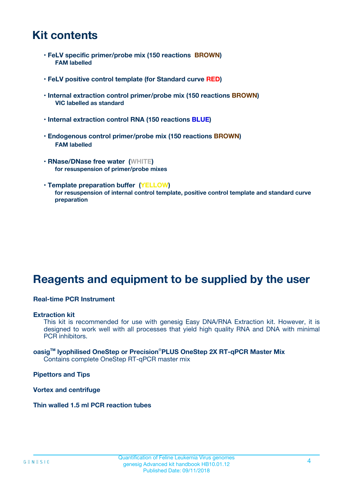### **Kit contents**

- **FeLV specific primer/probe mix (150 reactions BROWN) FAM labelled**
- **FeLV positive control template (for Standard curve RED)**
- **Internal extraction control primer/probe mix (150 reactions BROWN) VIC labelled as standard**
- **Internal extraction control RNA (150 reactions BLUE)**
- **Endogenous control primer/probe mix (150 reactions BROWN) FAM labelled**
- **RNase/DNase free water (WHITE) for resuspension of primer/probe mixes**
- **Template preparation buffer (YELLOW) for resuspension of internal control template, positive control template and standard curve preparation**

### **Reagents and equipment to be supplied by the user**

#### **Real-time PCR Instrument**

#### **Extraction kit**

This kit is recommended for use with genesig Easy DNA/RNA Extraction kit. However, it is designed to work well with all processes that yield high quality RNA and DNA with minimal PCR inhibitors.

#### **oasigTM lyophilised OneStep or Precision**®**PLUS OneStep 2X RT-qPCR Master Mix** Contains complete OneStep RT-qPCR master mix

**Pipettors and Tips**

**Vortex and centrifuge**

**Thin walled 1.5 ml PCR reaction tubes**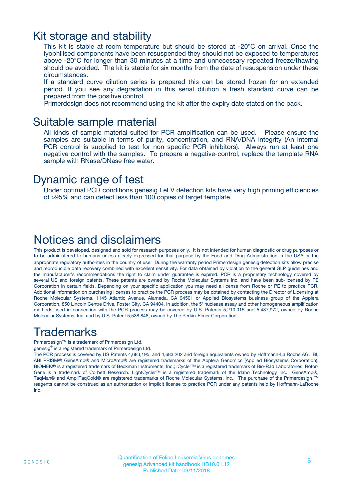### Kit storage and stability

This kit is stable at room temperature but should be stored at -20ºC on arrival. Once the lyophilised components have been resuspended they should not be exposed to temperatures above -20°C for longer than 30 minutes at a time and unnecessary repeated freeze/thawing should be avoided. The kit is stable for six months from the date of resuspension under these circumstances.

If a standard curve dilution series is prepared this can be stored frozen for an extended period. If you see any degradation in this serial dilution a fresh standard curve can be prepared from the positive control.

Primerdesign does not recommend using the kit after the expiry date stated on the pack.

### Suitable sample material

All kinds of sample material suited for PCR amplification can be used. Please ensure the samples are suitable in terms of purity, concentration, and RNA/DNA integrity (An internal PCR control is supplied to test for non specific PCR inhibitors). Always run at least one negative control with the samples. To prepare a negative-control, replace the template RNA sample with RNase/DNase free water.

### Dynamic range of test

Under optimal PCR conditions genesig FeLV detection kits have very high priming efficiencies of >95% and can detect less than 100 copies of target template.

### Notices and disclaimers

This product is developed, designed and sold for research purposes only. It is not intended for human diagnostic or drug purposes or to be administered to humans unless clearly expressed for that purpose by the Food and Drug Administration in the USA or the appropriate regulatory authorities in the country of use. During the warranty period Primerdesign genesig detection kits allow precise and reproducible data recovery combined with excellent sensitivity. For data obtained by violation to the general GLP guidelines and the manufacturer's recommendations the right to claim under guarantee is expired. PCR is a proprietary technology covered by several US and foreign patents. These patents are owned by Roche Molecular Systems Inc. and have been sub-licensed by PE Corporation in certain fields. Depending on your specific application you may need a license from Roche or PE to practice PCR. Additional information on purchasing licenses to practice the PCR process may be obtained by contacting the Director of Licensing at Roche Molecular Systems, 1145 Atlantic Avenue, Alameda, CA 94501 or Applied Biosystems business group of the Applera Corporation, 850 Lincoln Centre Drive, Foster City, CA 94404. In addition, the 5' nuclease assay and other homogeneous amplification methods used in connection with the PCR process may be covered by U.S. Patents 5,210,015 and 5,487,972, owned by Roche Molecular Systems, Inc, and by U.S. Patent 5,538,848, owned by The Perkin-Elmer Corporation.

### Trademarks

Primerdesign™ is a trademark of Primerdesign Ltd.

genesig® is a registered trademark of Primerdesign Ltd.

The PCR process is covered by US Patents 4,683,195, and 4,683,202 and foreign equivalents owned by Hoffmann-La Roche AG. BI, ABI PRISM® GeneAmp® and MicroAmp® are registered trademarks of the Applera Genomics (Applied Biosystems Corporation). BIOMEK® is a registered trademark of Beckman Instruments, Inc.; iCycler™ is a registered trademark of Bio-Rad Laboratories, Rotor-Gene is a trademark of Corbett Research. LightCycler™ is a registered trademark of the Idaho Technology Inc. GeneAmp®, TaqMan® and AmpliTaqGold® are registered trademarks of Roche Molecular Systems, Inc., The purchase of the Primerdesign ™ reagents cannot be construed as an authorization or implicit license to practice PCR under any patents held by Hoffmann-LaRoche Inc.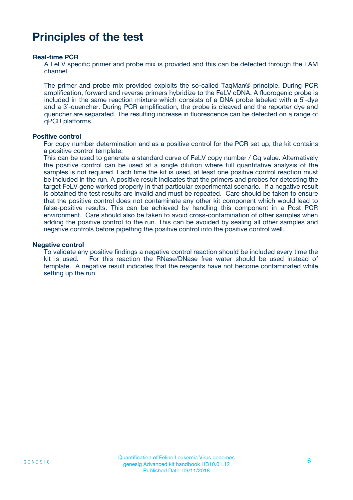### **Principles of the test**

#### **Real-time PCR**

A FeLV specific primer and probe mix is provided and this can be detected through the FAM channel.

The primer and probe mix provided exploits the so-called TaqMan® principle. During PCR amplification, forward and reverse primers hybridize to the FeLV cDNA. A fluorogenic probe is included in the same reaction mixture which consists of a DNA probe labeled with a 5`-dye and a 3`-quencher. During PCR amplification, the probe is cleaved and the reporter dye and quencher are separated. The resulting increase in fluorescence can be detected on a range of qPCR platforms.

#### **Positive control**

For copy number determination and as a positive control for the PCR set up, the kit contains a positive control template.

This can be used to generate a standard curve of FeLV copy number / Cq value. Alternatively the positive control can be used at a single dilution where full quantitative analysis of the samples is not required. Each time the kit is used, at least one positive control reaction must be included in the run. A positive result indicates that the primers and probes for detecting the target FeLV gene worked properly in that particular experimental scenario. If a negative result is obtained the test results are invalid and must be repeated. Care should be taken to ensure that the positive control does not contaminate any other kit component which would lead to false-positive results. This can be achieved by handling this component in a Post PCR environment. Care should also be taken to avoid cross-contamination of other samples when adding the positive control to the run. This can be avoided by sealing all other samples and negative controls before pipetting the positive control into the positive control well.

#### **Negative control**

To validate any positive findings a negative control reaction should be included every time the kit is used. For this reaction the RNase/DNase free water should be used instead of template. A negative result indicates that the reagents have not become contaminated while setting up the run.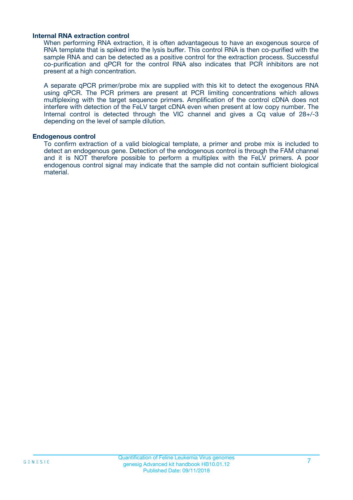#### **Internal RNA extraction control**

When performing RNA extraction, it is often advantageous to have an exogenous source of RNA template that is spiked into the lysis buffer. This control RNA is then co-purified with the sample RNA and can be detected as a positive control for the extraction process. Successful co-purification and qPCR for the control RNA also indicates that PCR inhibitors are not present at a high concentration.

A separate qPCR primer/probe mix are supplied with this kit to detect the exogenous RNA using qPCR. The PCR primers are present at PCR limiting concentrations which allows multiplexing with the target sequence primers. Amplification of the control cDNA does not interfere with detection of the FeLV target cDNA even when present at low copy number. The Internal control is detected through the VIC channel and gives a Cq value of 28+/-3 depending on the level of sample dilution.

#### **Endogenous control**

To confirm extraction of a valid biological template, a primer and probe mix is included to detect an endogenous gene. Detection of the endogenous control is through the FAM channel and it is NOT therefore possible to perform a multiplex with the FeLV primers. A poor endogenous control signal may indicate that the sample did not contain sufficient biological material.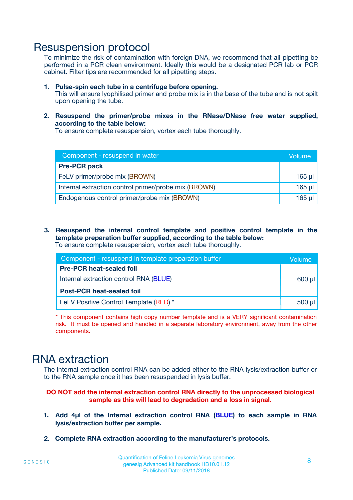### Resuspension protocol

To minimize the risk of contamination with foreign DNA, we recommend that all pipetting be performed in a PCR clean environment. Ideally this would be a designated PCR lab or PCR cabinet. Filter tips are recommended for all pipetting steps.

- **1. Pulse-spin each tube in a centrifuge before opening.** This will ensure lyophilised primer and probe mix is in the base of the tube and is not spilt upon opening the tube.
- **2. Resuspend the primer/probe mixes in the RNase/DNase free water supplied, according to the table below:**

To ensure complete resuspension, vortex each tube thoroughly.

| Component - resuspend in water                       |          |  |
|------------------------------------------------------|----------|--|
| <b>Pre-PCR pack</b>                                  |          |  |
| FeLV primer/probe mix (BROWN)                        | $165$ µl |  |
| Internal extraction control primer/probe mix (BROWN) | $165$ µl |  |
| Endogenous control primer/probe mix (BROWN)          | 165 µl   |  |

**3. Resuspend the internal control template and positive control template in the template preparation buffer supplied, according to the table below:** To ensure complete resuspension, vortex each tube thoroughly.

| Component - resuspend in template preparation buffer |             |  |  |
|------------------------------------------------------|-------------|--|--|
| <b>Pre-PCR heat-sealed foil</b>                      |             |  |  |
| Internal extraction control RNA (BLUE)               |             |  |  |
| <b>Post-PCR heat-sealed foil</b>                     |             |  |  |
| FeLV Positive Control Template (RED) *               | $500$ $\mu$ |  |  |

\* This component contains high copy number template and is a VERY significant contamination risk. It must be opened and handled in a separate laboratory environment, away from the other components.

### RNA extraction

The internal extraction control RNA can be added either to the RNA lysis/extraction buffer or to the RNA sample once it has been resuspended in lysis buffer.

#### **DO NOT add the internal extraction control RNA directly to the unprocessed biological sample as this will lead to degradation and a loss in signal.**

- **1. Add 4µ**l **of the Internal extraction control RNA (BLUE) to each sample in RNA lysis/extraction buffer per sample.**
- **2. Complete RNA extraction according to the manufacturer's protocols.**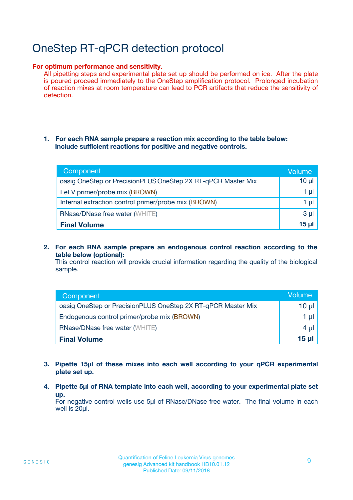# OneStep RT-qPCR detection protocol

#### **For optimum performance and sensitivity.**

All pipetting steps and experimental plate set up should be performed on ice. After the plate is poured proceed immediately to the OneStep amplification protocol. Prolonged incubation of reaction mixes at room temperature can lead to PCR artifacts that reduce the sensitivity of detection.

#### **1. For each RNA sample prepare a reaction mix according to the table below: Include sufficient reactions for positive and negative controls.**

| Component                                                    | <b>Volume</b> |
|--------------------------------------------------------------|---------------|
| oasig OneStep or PrecisionPLUS OneStep 2X RT-qPCR Master Mix | $10 \mu$      |
| FeLV primer/probe mix (BROWN)                                | 1 µI          |
| Internal extraction control primer/probe mix (BROWN)         | 1 µl          |
| <b>RNase/DNase free water (WHITE)</b>                        | $3 \mu$       |
| <b>Final Volume</b>                                          | 15 ul         |

**2. For each RNA sample prepare an endogenous control reaction according to the table below (optional):**

This control reaction will provide crucial information regarding the quality of the biological sample.

| Component                                                    | Volume   |
|--------------------------------------------------------------|----------|
| oasig OneStep or PrecisionPLUS OneStep 2X RT-qPCR Master Mix | 10 $\mu$ |
| Endogenous control primer/probe mix (BROWN)                  | 1 ul     |
| <b>RNase/DNase free water (WHITE)</b>                        | $4 \mu$  |
| <b>Final Volume</b>                                          | 15 µl    |

- **3. Pipette 15µl of these mixes into each well according to your qPCR experimental plate set up.**
- **4. Pipette 5µl of RNA template into each well, according to your experimental plate set up.**

For negative control wells use 5µl of RNase/DNase free water. The final volume in each well is 20µl.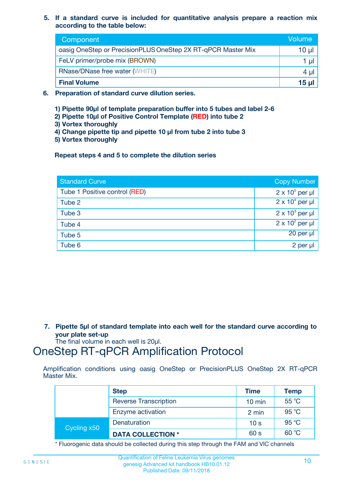**5. If a standard curve is included for quantitative analysis prepare a reaction mix according to the table below:**

| Component                                                    | Volume       |
|--------------------------------------------------------------|--------------|
| oasig OneStep or PrecisionPLUS OneStep 2X RT-qPCR Master Mix | 10 µl        |
| FeLV primer/probe mix (BROWN)                                |              |
| <b>RNase/DNase free water (WHITE)</b>                        | 4 µ          |
| <b>Final Volume</b>                                          | <u>15 µl</u> |

- **6. Preparation of standard curve dilution series.**
	- **1) Pipette 90µl of template preparation buffer into 5 tubes and label 2-6**
	- **2) Pipette 10µl of Positive Control Template (RED) into tube 2**
	- **3) Vortex thoroughly**
	- **4) Change pipette tip and pipette 10 µl from tube 2 into tube 3**
	- **5) Vortex thoroughly**

**Repeat steps 4 and 5 to complete the dilution series**

| <b>Standard Curve</b>         | <b>Copy Number</b>     |
|-------------------------------|------------------------|
| Tube 1 Positive control (RED) | $2 \times 10^5$ per µl |
| Tube 2                        | $2 \times 10^4$ per µl |
| Tube 3                        | $2 \times 10^3$ per µl |
| Tube 4                        | $2 \times 10^2$ per µl |
| Tube 5                        | 20 per µl              |
| Tube 6                        | 2 per µl               |

**7. Pipette 5µl of standard template into each well for the standard curve according to your plate set-up**

The final volume in each well is 20µl.

### OneStep RT-qPCR Amplification Protocol

Amplification conditions using oasig OneStep or PrecisionPLUS OneStep 2X RT-qPCR Master Mix.

|             | <b>Step</b>                  | <b>Time</b>      | <b>Temp</b> |
|-------------|------------------------------|------------------|-------------|
|             | <b>Reverse Transcription</b> | $10 \text{ min}$ | 55 °C       |
|             | Enzyme activation            | 2 min            | 95 °C       |
| Cycling x50 | Denaturation                 | 10 <sub>s</sub>  | 95 °C       |
|             | <b>DATA COLLECTION *</b>     | 60 s             | 60 °C       |

\* Fluorogenic data should be collected during this step through the FAM and VIC channels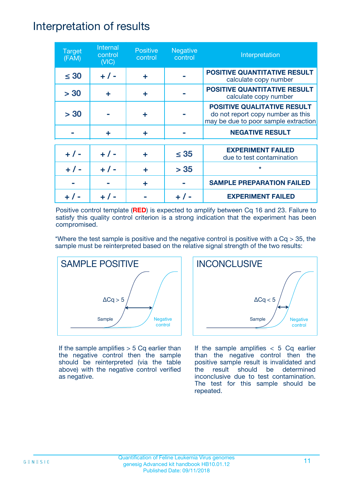### Interpretation of results

| <b>Target</b><br>(FAM) | Internal<br>control<br>(NIC) | <b>Positive</b><br>control | <b>Negative</b><br>control | Interpretation                                                                                                  |
|------------------------|------------------------------|----------------------------|----------------------------|-----------------------------------------------------------------------------------------------------------------|
| $\leq 30$              | $+ 1 -$                      | ÷                          |                            | <b>POSITIVE QUANTITATIVE RESULT</b><br>calculate copy number                                                    |
| > 30                   | ÷                            | ÷                          |                            | <b>POSITIVE QUANTITATIVE RESULT</b><br>calculate copy number                                                    |
| > 30                   |                              | ÷                          |                            | <b>POSITIVE QUALITATIVE RESULT</b><br>do not report copy number as this<br>may be due to poor sample extraction |
|                        | ÷                            | ÷                          |                            | <b>NEGATIVE RESULT</b>                                                                                          |
| $+ 1 -$                | $+ 1 -$                      | ÷                          | $\leq$ 35                  | <b>EXPERIMENT FAILED</b><br>due to test contamination                                                           |
|                        | $+$ / -                      |                            | > 35                       | $\star$                                                                                                         |
|                        |                              | ÷                          |                            | <b>SAMPLE PREPARATION FAILED</b>                                                                                |
|                        |                              |                            |                            | <b>EXPERIMENT FAILED</b>                                                                                        |

Positive control template (**RED**) is expected to amplify between Cq 16 and 23. Failure to satisfy this quality control criterion is a strong indication that the experiment has been compromised.

\*Where the test sample is positive and the negative control is positive with a  $Cq > 35$ , the sample must be reinterpreted based on the relative signal strength of the two results:



If the sample amplifies  $> 5$  Cq earlier than the negative control then the sample should be reinterpreted (via the table above) with the negative control verified as negative.



If the sample amplifies  $< 5$  Cq earlier than the negative control then the positive sample result is invalidated and the result should be determined inconclusive due to test contamination. The test for this sample should be repeated.